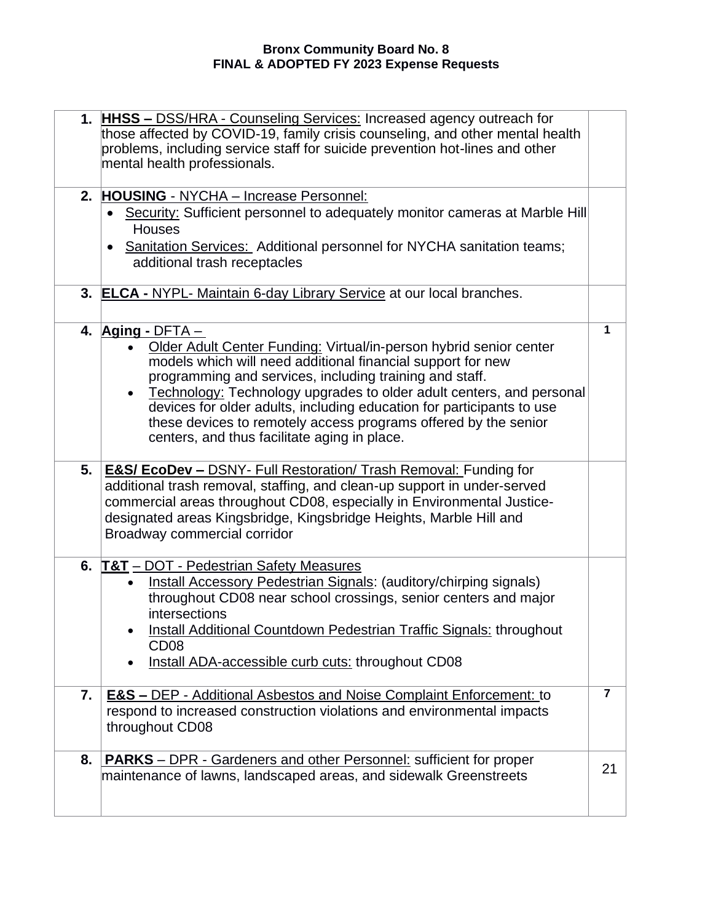|    | 1. HHSS - DSS/HRA - Counseling Services: Increased agency outreach for<br>those affected by COVID-19, family crisis counseling, and other mental health<br>problems, including service staff for suicide prevention hot-lines and other<br>mental health professionals.                                                                                                                                                                                                                                         |                |
|----|-----------------------------------------------------------------------------------------------------------------------------------------------------------------------------------------------------------------------------------------------------------------------------------------------------------------------------------------------------------------------------------------------------------------------------------------------------------------------------------------------------------------|----------------|
| 2. | <b>HOUSING</b> - NYCHA - Increase Personnel:<br>Security: Sufficient personnel to adequately monitor cameras at Marble Hill<br><b>Houses</b><br>Sanitation Services: Additional personnel for NYCHA sanitation teams;<br>$\bullet$<br>additional trash receptacles                                                                                                                                                                                                                                              |                |
|    | 3. ELCA - NYPL- Maintain 6-day Library Service at our local branches.                                                                                                                                                                                                                                                                                                                                                                                                                                           |                |
|    | 4. $\overline{Aging}$ - DFTA –<br>Older Adult Center Funding: Virtual/in-person hybrid senior center<br>models which will need additional financial support for new<br>programming and services, including training and staff.<br>Technology: Technology upgrades to older adult centers, and personal<br>$\bullet$<br>devices for older adults, including education for participants to use<br>these devices to remotely access programs offered by the senior<br>centers, and thus facilitate aging in place. | $\mathbf 1$    |
| 5. | <b>E&amp;S/ EcoDev - DSNY- Full Restoration/ Trash Removal: Funding for</b><br>additional trash removal, staffing, and clean-up support in under-served<br>commercial areas throughout CD08, especially in Environmental Justice-<br>designated areas Kingsbridge, Kingsbridge Heights, Marble Hill and<br>Broadway commercial corridor                                                                                                                                                                         |                |
|    | 6. T&T – DOT - Pedestrian Safety Measures<br>Install Accessory Pedestrian Signals: (auditory/chirping signals)<br>$\bullet$<br>throughout CD08 near school crossings, senior centers and major<br>intersections<br>Install Additional Countdown Pedestrian Traffic Signals: throughout<br>CD <sub>08</sub><br>Install ADA-accessible curb cuts: throughout CD08                                                                                                                                                 |                |
| 7. | <b>E&amp;S - DEP - Additional Asbestos and Noise Complaint Enforcement: to</b><br>respond to increased construction violations and environmental impacts<br>throughout CD08                                                                                                                                                                                                                                                                                                                                     | $\overline{7}$ |
| 8. | <b>PARKS</b> - DPR - Gardeners and other Personnel: sufficient for proper<br>maintenance of lawns, landscaped areas, and sidewalk Greenstreets                                                                                                                                                                                                                                                                                                                                                                  | 21             |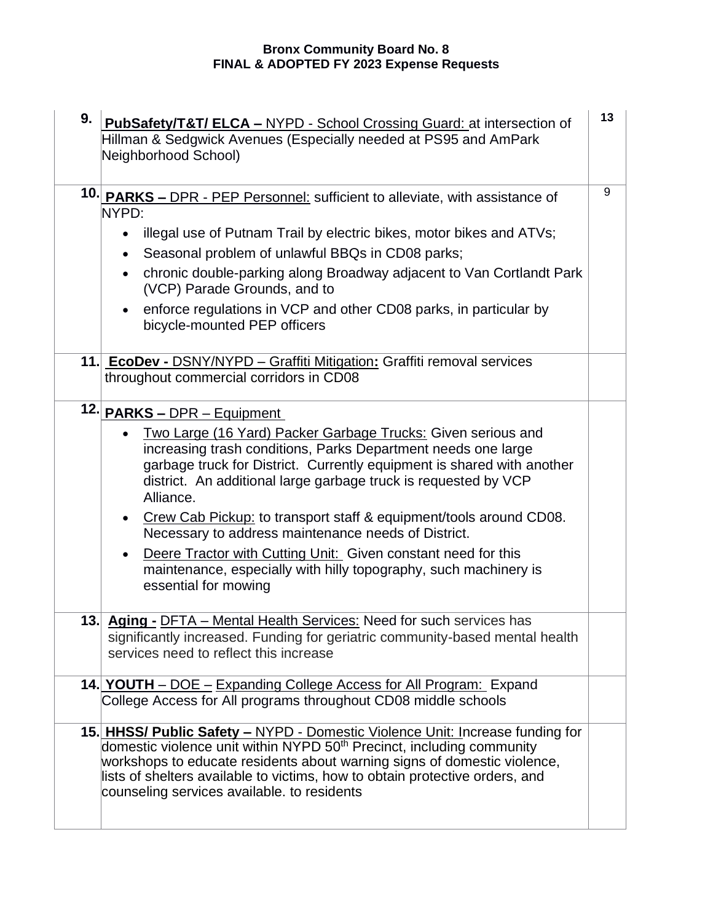| 9. | PubSafety/T&T/ ELCA - NYPD - School Crossing Guard: at intersection of<br>Hillman & Sedgwick Avenues (Especially needed at PS95 and AmPark<br>Neighborhood School)                                                                                                                                                                                                                                                                                                                                                                                                                                                                         | 13 |
|----|--------------------------------------------------------------------------------------------------------------------------------------------------------------------------------------------------------------------------------------------------------------------------------------------------------------------------------------------------------------------------------------------------------------------------------------------------------------------------------------------------------------------------------------------------------------------------------------------------------------------------------------------|----|
|    | 10. PARKS - DPR - PEP Personnel: sufficient to alleviate, with assistance of<br>NYPD:<br>illegal use of Putnam Trail by electric bikes, motor bikes and ATVs;<br>$\bullet$<br>Seasonal problem of unlawful BBQs in CD08 parks;<br>$\bullet$<br>chronic double-parking along Broadway adjacent to Van Cortlandt Park<br>$\bullet$<br>(VCP) Parade Grounds, and to<br>enforce regulations in VCP and other CD08 parks, in particular by<br>$\bullet$<br>bicycle-mounted PEP officers                                                                                                                                                         | 9  |
|    | 11. EcoDev - DSNY/NYPD - Graffiti Mitigation: Graffiti removal services<br>throughout commercial corridors in CD08                                                                                                                                                                                                                                                                                                                                                                                                                                                                                                                         |    |
|    | 12. PARKS - DPR - Equipment<br>Two Large (16 Yard) Packer Garbage Trucks: Given serious and<br>increasing trash conditions, Parks Department needs one large<br>garbage truck for District. Currently equipment is shared with another<br>district. An additional large garbage truck is requested by VCP<br>Alliance.<br>Crew Cab Pickup: to transport staff & equipment/tools around CD08.<br>$\bullet$<br>Necessary to address maintenance needs of District.<br>Deere Tractor with Cutting Unit: Given constant need for this<br>$\bullet$<br>maintenance, especially with hilly topography, such machinery is<br>essential for mowing |    |
|    | 13. Aging - DFTA - Mental Health Services: Need for such services has<br>significantly increased. Funding for geriatric community-based mental health<br>services need to reflect this increase                                                                                                                                                                                                                                                                                                                                                                                                                                            |    |
|    | 14. YOUTH – DOE – Expanding College Access for All Program: Expand<br>College Access for All programs throughout CD08 middle schools                                                                                                                                                                                                                                                                                                                                                                                                                                                                                                       |    |
|    | 15. HHSS/ Public Safety - NYPD - Domestic Violence Unit: Increase funding for<br>domestic violence unit within NYPD 50 <sup>th</sup> Precinct, including community<br>workshops to educate residents about warning signs of domestic violence,<br>lists of shelters available to victims, how to obtain protective orders, and<br>counseling services available. to residents                                                                                                                                                                                                                                                              |    |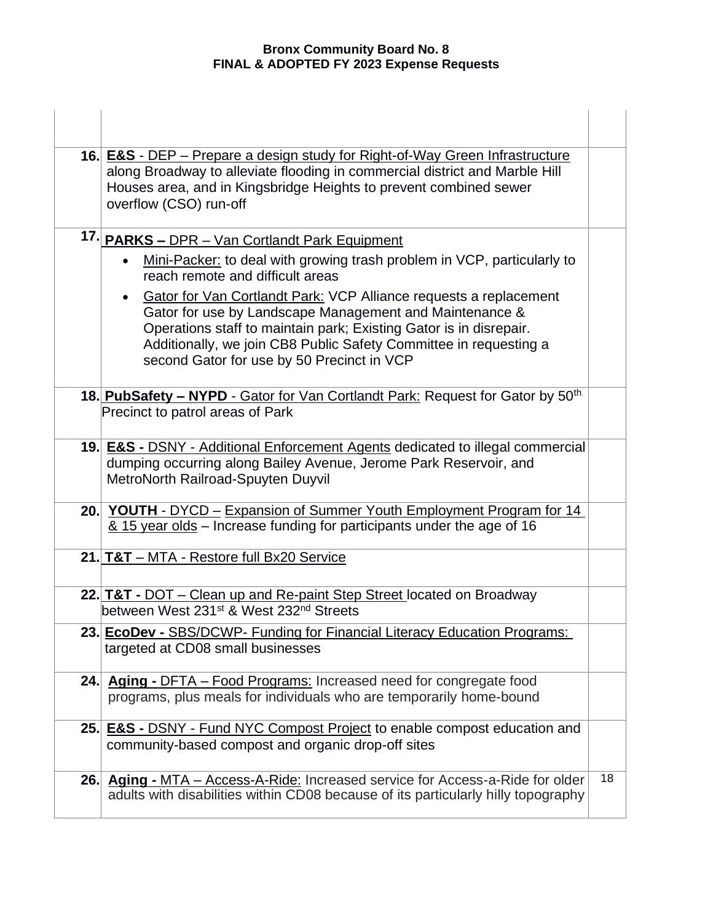|  | 16. <b>E&amp;S</b> - DEP – Prepare a design study for Right-of-Way Green Infrastructure<br>along Broadway to alleviate flooding in commercial district and Marble Hill<br>Houses area, and in Kingsbridge Heights to prevent combined sewer<br>overflow (CSO) run-off |    |
|--|-----------------------------------------------------------------------------------------------------------------------------------------------------------------------------------------------------------------------------------------------------------------------|----|
|  | 17. PARKS - DPR - Van Cortlandt Park Equipment                                                                                                                                                                                                                        |    |
|  | Mini-Packer: to deal with growing trash problem in VCP, particularly to<br>reach remote and difficult areas                                                                                                                                                           |    |
|  | <b>Gator for Van Cortlandt Park: VCP Alliance requests a replacement</b><br>$\bullet$                                                                                                                                                                                 |    |
|  | Gator for use by Landscape Management and Maintenance &<br>Operations staff to maintain park; Existing Gator is in disrepair.                                                                                                                                         |    |
|  | Additionally, we join CB8 Public Safety Committee in requesting a                                                                                                                                                                                                     |    |
|  | second Gator for use by 50 Precinct in VCP                                                                                                                                                                                                                            |    |
|  | 18. PubSafety - NYPD - Gator for Van Cortlandt Park: Request for Gator by 50 <sup>th</sup>                                                                                                                                                                            |    |
|  | Precinct to patrol areas of Park                                                                                                                                                                                                                                      |    |
|  | 19. <b>E&amp;S</b> - DSNY - Additional Enforcement Agents dedicated to illegal commercial                                                                                                                                                                             |    |
|  | dumping occurring along Bailey Avenue, Jerome Park Reservoir, and                                                                                                                                                                                                     |    |
|  | MetroNorth Railroad-Spuyten Duyvil                                                                                                                                                                                                                                    |    |
|  | 20. YOUTH - DYCD - Expansion of Summer Youth Employment Program for 14                                                                                                                                                                                                |    |
|  | 8.15 year olds - Increase funding for participants under the age of 16                                                                                                                                                                                                |    |
|  | 21. T&T - MTA - Restore full Bx20 Service                                                                                                                                                                                                                             |    |
|  | 22. T&T - DOT – Clean up and Re-paint Step Street located on Broadway                                                                                                                                                                                                 |    |
|  | between West 231st & West 232 <sup>nd</sup> Streets                                                                                                                                                                                                                   |    |
|  | 23. EcoDev - SBS/DCWP- Funding for Financial Literacy Education Programs:                                                                                                                                                                                             |    |
|  | targeted at CD08 small businesses                                                                                                                                                                                                                                     |    |
|  | 24. Aging - DFTA - Food Programs: Increased need for congregate food                                                                                                                                                                                                  |    |
|  | programs, plus meals for individuals who are temporarily home-bound                                                                                                                                                                                                   |    |
|  | 25. E&S - DSNY - Fund NYC Compost Project to enable compost education and                                                                                                                                                                                             |    |
|  | community-based compost and organic drop-off sites                                                                                                                                                                                                                    |    |
|  | 26. Aging - MTA - Access-A-Ride: Increased service for Access-a-Ride for older                                                                                                                                                                                        | 18 |
|  | adults with disabilities within CD08 because of its particularly hilly topography                                                                                                                                                                                     |    |
|  |                                                                                                                                                                                                                                                                       |    |